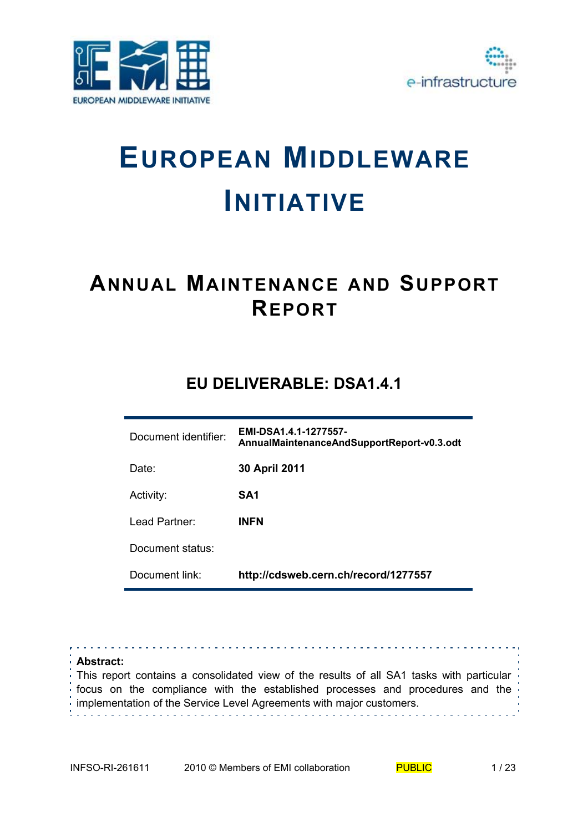



# **EUROPEAN MIDDLEWARE INITIATIVE**

# **ANNUAL MAINTENANCE AND SUPPORT REPORT**

# **EU DELIVERABLE: DSA1.4.1**

| Document identifier: | EMI-DSA1.4.1-1277557-<br>AnnualMaintenanceAndSupportReport-v0.3.odt |
|----------------------|---------------------------------------------------------------------|
| Date:                | 30 April 2011                                                       |
| Activity:            | SA1                                                                 |
| Lead Partner:        | <b>INFN</b>                                                         |
| Document status:     |                                                                     |
| Document link:       | http://cdsweb.cern.ch/record/1277557                                |

**Abstract:**  This report contains a consolidated view of the results of all SA1 tasks with particular focus on the compliance with the established processes and procedures and the  $\frac{1}{2}$  implementation of the Service Level Agreements with major customers.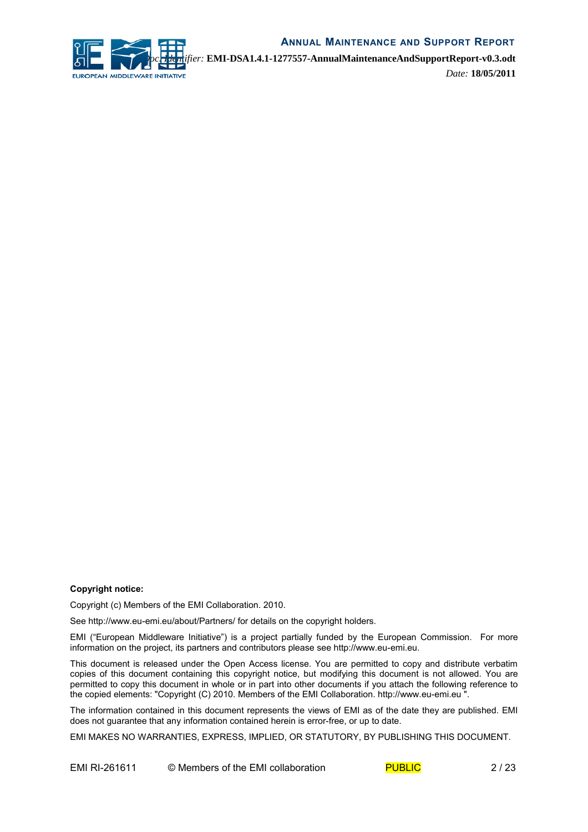

*Doc. Identifier:* **EMI-DSA1.4.1-1277557-AnnualMaintenanceAndSupportReport-v0.3.odt** *Date:* **18/05/2011**

#### **Copyright notice:**

Copyright (c) Members of the EMI Collaboration. 2010.

See http://www.eu-emi.eu/about/Partners/ for details on the copyright holders.

EMI ("European Middleware Initiative") is a project partially funded by the European Commission. For more information on the project, its partners and contributors please see http://www.eu-emi.eu.

This document is released under the Open Access license. You are permitted to copy and distribute verbatim copies of this document containing this copyright notice, but modifying this document is not allowed. You are permitted to copy this document in whole or in part into other documents if you attach the following reference to the copied elements: "Copyright (C) 2010. Members of the EMI Collaboration. http://www.eu-emi.eu ".

The information contained in this document represents the views of EMI as of the date they are published. EMI does not guarantee that any information contained herein is error-free, or up to date.

EMI MAKES NO WARRANTIES, EXPRESS, IMPLIED, OR STATUTORY, BY PUBLISHING THIS DOCUMENT.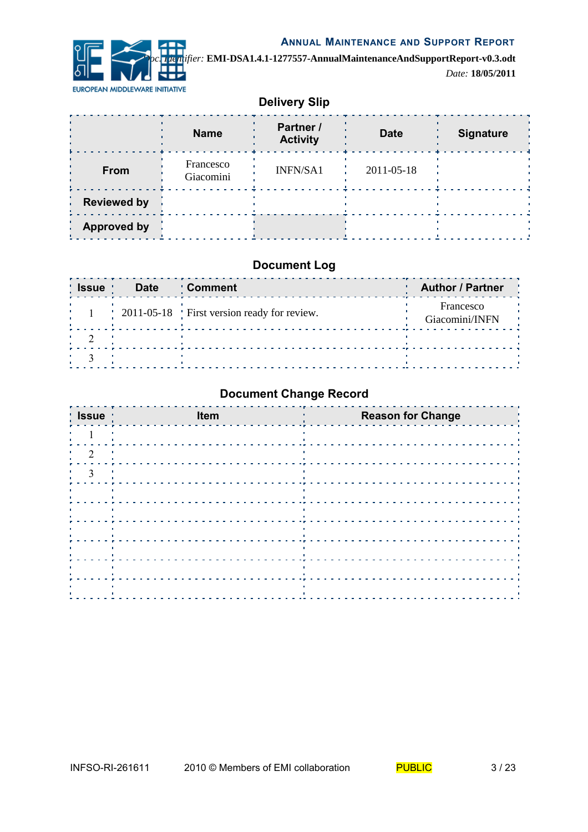

*Doc. Identifier:* **EMI-DSA1.4.1-1277557-AnnualMaintenanceAndSupportReport-v0.3.odt** *Date:* **18/05/2011**

# **Delivery Slip**

|                    | <b>Name</b>            | Partner /<br><b>Activity</b> | <b>Date</b> | <b>Signature</b> |
|--------------------|------------------------|------------------------------|-------------|------------------|
| From               | Francesco<br>Giacomini | <b>INFN/SA1</b>              | 2011-05-18  |                  |
| <b>Reviewed by</b> |                        |                              |             |                  |
| <b>Approved by</b> |                        |                              |             |                  |

#### **Document Log**

| <b>S</b> Issue | <b>Date</b> | : Comment                                        | <b>Author / Partner</b>     |
|----------------|-------------|--------------------------------------------------|-----------------------------|
|                |             | $\pm$ 2011-05-18 First version ready for review. | Francesco<br>Giacomini/INFN |
|                |             |                                                  |                             |
|                |             |                                                  |                             |

# **Document Change Record**

| Issue                                                        | Item                                                                   | <b>Reason for Change</b> |
|--------------------------------------------------------------|------------------------------------------------------------------------|--------------------------|
|                                                              | - 11                                                                   | п.                       |
|                                                              |                                                                        |                          |
| $\frac{1}{2}$ $\frac{3}{2}$ $\frac{1}{2}$                    | <u>.</u>                                                               |                          |
| $\mathbf{H}^{\prime}$ .<br><b>Contract Contract District</b> | <b>CONTRACTOR</b>                                                      | $\sim 10$                |
| the control of the control of<br>$\mathbf{r}$ .              | the control of the control of                                          | $\sim 1$                 |
| л.<br><b>Contractor</b>                                      | the control of the control of the<br>the control of the control of the |                          |
| .<br>1999 - Paul III II                                      | <b>CONTRACTOR</b>                                                      | $\sim 1$                 |
| and the control of<br>$\mathbf{r}$                           | <b>Contract</b>                                                        | - 11                     |
| 1997<br>٠.                                                   | the contract of the contract of the contract of                        |                          |
|                                                              |                                                                        |                          |

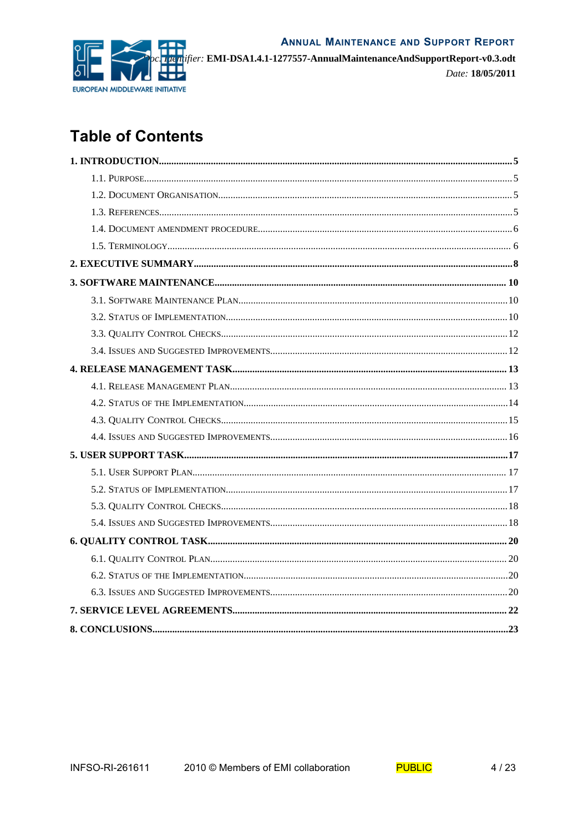

ifier: EMI-DSA1.4.1-1277557-AnnualMaintenanceAndSupportReport-v0.3.odt

Date: 18/05/2011

# **Table of Contents**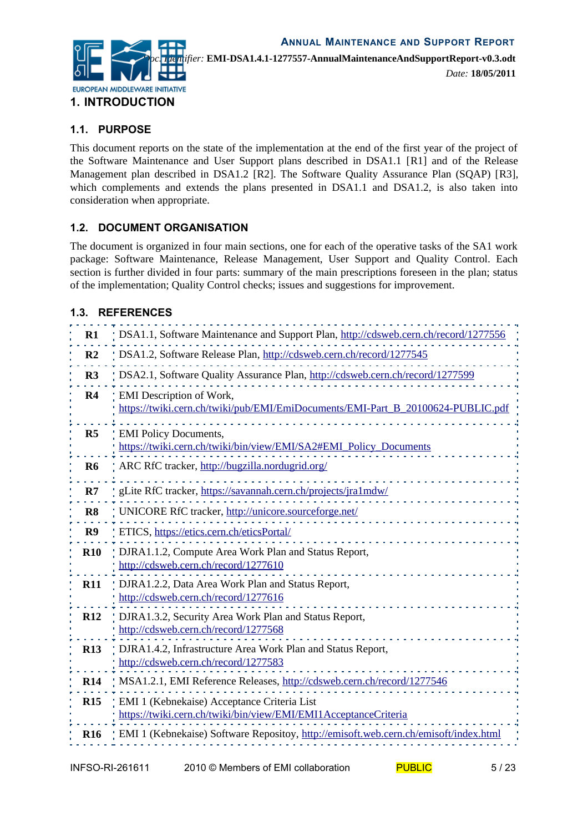

## **1.1. PURPOSE**

This document reports on the state of the implementation at the end of the first year of the project of the Software Maintenance and User Support plans described in DSA1.1 [[R1\]](#page-4-2) and of the Release Management plan described in DSA1.2 [\[R2\]](#page-4-1). The Software Quality Assurance Plan (SQAP) [\[R3\]](#page-4-0), which complements and extends the plans presented in DSA1.1 and DSA1.2, is also taken into consideration when appropriate.

#### **1.2. DOCUMENT ORGANISATION**

The document is organized in four main sections, one for each of the operative tasks of the SA1 work package: Software Maintenance, Release Management, User Support and Quality Control. Each section is further divided in four parts: summary of the main prescriptions foreseen in the plan; status of the implementation; Quality Control checks; issues and suggestions for improvement.

#### **1.3. REFERENCES**

<span id="page-4-15"></span><span id="page-4-14"></span><span id="page-4-13"></span><span id="page-4-12"></span><span id="page-4-11"></span><span id="page-4-10"></span><span id="page-4-9"></span><span id="page-4-8"></span><span id="page-4-7"></span><span id="page-4-6"></span><span id="page-4-5"></span><span id="page-4-4"></span><span id="page-4-3"></span><span id="page-4-2"></span><span id="page-4-1"></span><span id="page-4-0"></span>

| $R1$           | DSA1.1, Software Maintenance and Support Plan, http://cdsweb.cern.ch/record/1277556                            |
|----------------|----------------------------------------------------------------------------------------------------------------|
| R <sub>2</sub> | DSA1.2, Software Release Plan, http://cdsweb.cern.ch/record/1277545                                            |
| R3             | DSA2.1, Software Quality Assurance Plan, http://cdsweb.cern.ch/record/1277599                                  |
| R <sub>4</sub> | EMI Description of Work,<br>https://twiki.cern.ch/twiki/pub/EMI/EmiDocuments/EMI-Part B 20100624-PUBLIC.pdf    |
| R <sub>5</sub> | <b>EMI</b> Policy Documents,<br>https://twiki.cern.ch/twiki/bin/view/EMI/SA2#EMI_Policy_Documents              |
| R <sub>6</sub> | ARC RfC tracker, http://bugzilla.nordugrid.org/                                                                |
| R7             | gLite RfC tracker, https://savannah.cern.ch/projects/jra1mdw/                                                  |
| R <sub>8</sub> | UNICORE RfC tracker, http://unicore.sourceforge.net/                                                           |
| R9             | ETICS, https://etics.cern.ch/eticsPortal/                                                                      |
| <b>R10</b>     | DJRA1.1.2, Compute Area Work Plan and Status Report,<br>http://cdsweb.cern.ch/record/1277610                   |
| <b>R11</b>     | DJRA1.2.2, Data Area Work Plan and Status Report,<br>http://cdsweb.cern.ch/record/1277616                      |
| <b>R12</b>     | DJRA1.3.2, Security Area Work Plan and Status Report,<br>http://cdsweb.cern.ch/record/1277568                  |
| <b>R13</b>     | DJRA1.4.2, Infrastructure Area Work Plan and Status Report,<br>http://cdsweb.cern.ch/record/1277583            |
| <b>R14</b>     | MSA1.2.1, EMI Reference Releases, http://cdsweb.cern.ch/record/1277546                                         |
| R15            | EMI 1 (Kebnekaise) Acceptance Criteria List<br>https://twiki.cern.ch/twiki/bin/view/EMI/EMI1AcceptanceCriteria |
| <b>R16</b>     | EMI 1 (Kebnekaise) Software Repositoy, http://emisoft.web.cern.ch/emisoft/index.html                           |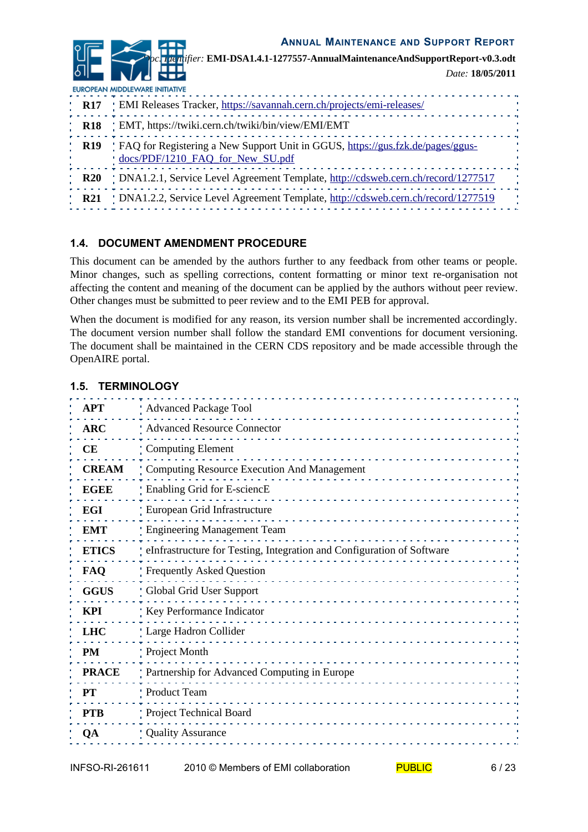*Doc. Identifier:* **EMI-DSA1.4.1-1277557-AnnualMaintenanceAndSupportReport-v0.3.odt** *Date:* **18/05/2011**

<span id="page-5-2"></span><span id="page-5-1"></span><span id="page-5-0"></span>EUROPEAN MIDDLEWARE INITIATIVE **R17** EMI Releases Tracker,<https://savannah.cern.ch/projects/emi-releases/> **R18** EMT, https://twiki.cern.ch/twiki/bin/view/EMI/EMT **R19** FAQ for Registering a New Support Unit in GGUS, [https://gus.fzk.de/pages/ggus](https://gus.fzk.de/pages/ggus-docs/PDF/1210_FAQ_for_New_SU.pdf)[docs/PDF/1210\\_FAQ\\_for\\_New\\_SU.pdf](https://gus.fzk.de/pages/ggus-docs/PDF/1210_FAQ_for_New_SU.pdf) . . . . 4 **R20** DNA1.2.1, Service Level Agreement Template, [http://cdsweb.cern.ch/record/1277517](http://cdsweb.cern.ch/record/1277517?ln=en) **R21** DNA1.2.2, Service Level Agreement Template,<http://cdsweb.cern.ch/record/1277519>

## <span id="page-5-4"></span><span id="page-5-3"></span>**1.4. DOCUMENT AMENDMENT PROCEDURE**

This document can be amended by the authors further to any feedback from other teams or people. Minor changes, such as spelling corrections, content formatting or minor text re-organisation not affecting the content and meaning of the document can be applied by the authors without peer review. Other changes must be submitted to peer review and to the EMI PEB for approval.

When the document is modified for any reason, its version number shall be incremented accordingly. The document version number shall follow the standard EMI conventions for document versioning. The document shall be maintained in the CERN CDS repository and be made accessible through the OpenAIRE portal.

| APT          | <b>Advanced Package Tool</b>                                             |  |
|--------------|--------------------------------------------------------------------------|--|
| <b>ARC</b>   | Advanced Resource Connector                                              |  |
| CЕ           | Computing Element                                                        |  |
| <b>CREAM</b> | Computing Resource Execution And Management                              |  |
| <b>EGEE</b>  | : Enabling Grid for E-sciencE                                            |  |
| EGI          | European Grid Infrastructure                                             |  |
| <b>EMT</b>   | : Engineering Management Team                                            |  |
| <b>ETICS</b> | : eInfrastructure for Testing, Integration and Configuration of Software |  |
| <b>FAQ</b>   | Frequently Asked Question                                                |  |
| <b>GGUS</b>  | Global Grid User Support                                                 |  |
| KPI          | Key Performance Indicator                                                |  |
| <b>LHC</b>   | Large Hadron Collider                                                    |  |
| PM           | Project Month                                                            |  |
| <b>PRACE</b> | Partnership for Advanced Computing in Europe                             |  |
| <b>PT</b>    | Product Team                                                             |  |
| <b>PTB</b>   | Project Technical Board                                                  |  |
| <b>OA</b>    | <b>Quality Assurance</b>                                                 |  |
|              |                                                                          |  |

#### **1.5. TERMINOLOGY**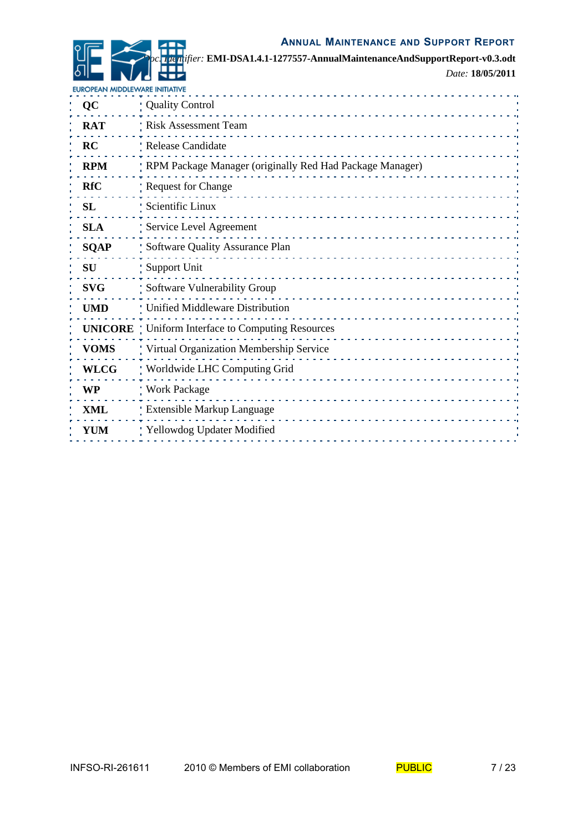*Doc. Identifier:* **EMI-DSA1.4.1-1277557-AnnualMaintenanceAndSupportReport-v0.3.odt** *Date:* **18/05/2011**

| EUROPEAN MIDDLEWARE INITIATIVE |                                                           |  |
|--------------------------------|-----------------------------------------------------------|--|
| QC                             | Quality Control                                           |  |
| <b>RAT</b>                     | Risk Assessment Team                                      |  |
| <b>RC</b>                      | Release Candidate                                         |  |
| <b>RPM</b>                     | RPM Package Manager (originally Red Had Package Manager)  |  |
| <b>RfC</b>                     | <b>Request for Change</b>                                 |  |
| SL                             | Scientific Linux                                          |  |
| <b>SLA</b>                     | Service Level Agreement                                   |  |
| <b>SQAP</b>                    | Software Quality Assurance Plan                           |  |
| SU                             | Support Unit                                              |  |
| <b>SVG</b>                     | Software Vulnerability Group                              |  |
| <b>UMD</b>                     | ! Unified Middleware Distribution                         |  |
|                                | <b>UNICORE</b>   Uniform Interface to Computing Resources |  |
| <b>VOMS</b>                    | Virtual Organization Membership Service                   |  |
| <b>WLCG</b>                    | Worldwide LHC Computing Grid                              |  |
| WP                             | : Work Package                                            |  |
| <b>XML</b>                     | : Extensible Markup Language                              |  |
| <b>YUM</b>                     | Yellowdog Updater Modified                                |  |
|                                |                                                           |  |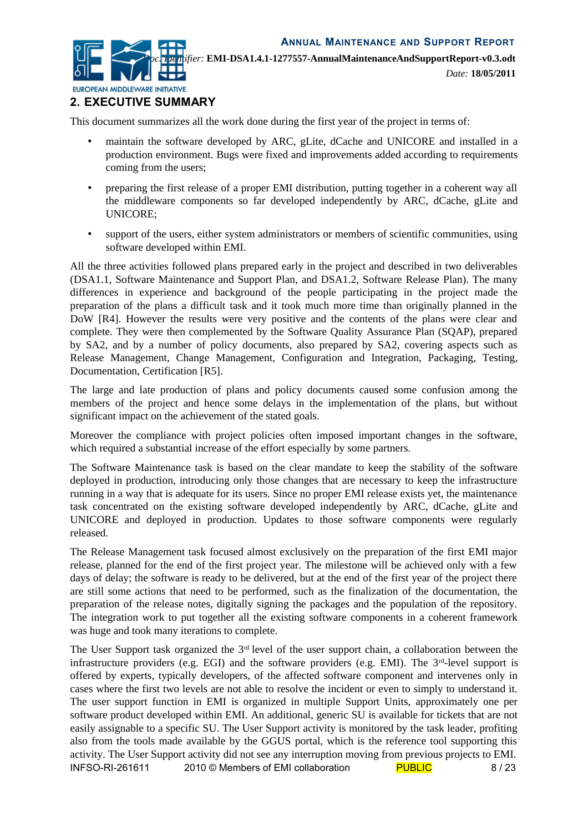

*Date:* **18/05/2011**

### **2. EXECUTIVE SUMMARY**

This document summarizes all the work done during the first year of the project in terms of:

- maintain the software developed by ARC, gLite, dCache and UNICORE and installed in a production environment. Bugs were fixed and improvements added according to requirements coming from the users;
- preparing the first release of a proper EMI distribution, putting together in a coherent way all the middleware components so far developed independently by ARC, dCache, gLite and UNICORE;
- support of the users, either system administrators or members of scientific communities, using software developed within EMI.

All the three activities followed plans prepared early in the project and described in two deliverables (DSA1.1, Software Maintenance and Support Plan, and DSA1.2, Software Release Plan). The many differences in experience and background of the people participating in the project made the preparation of the plans a difficult task and it took much more time than originally planned in the DoW [\[R4\]](#page-4-4). However the results were very positive and the contents of the plans were clear and complete. They were then complemented by the Software Quality Assurance Plan (SQAP), prepared by SA2, and by a number of policy documents, also prepared by SA2, covering aspects such as Release Management, Change Management, Configuration and Integration, Packaging, Testing, Documentation, Certification [\[R5\]](#page-4-3).

The large and late production of plans and policy documents caused some confusion among the members of the project and hence some delays in the implementation of the plans, but without significant impact on the achievement of the stated goals.

Moreover the compliance with project policies often imposed important changes in the software, which required a substantial increase of the effort especially by some partners.

The Software Maintenance task is based on the clear mandate to keep the stability of the software deployed in production, introducing only those changes that are necessary to keep the infrastructure running in a way that is adequate for its users. Since no proper EMI release exists yet, the maintenance task concentrated on the existing software developed independently by ARC, dCache, gLite and UNICORE and deployed in production. Updates to those software components were regularly released.

The Release Management task focused almost exclusively on the preparation of the first EMI major release, planned for the end of the first project year. The milestone will be achieved only with a few days of delay; the software is ready to be delivered, but at the end of the first year of the project there are still some actions that need to be performed, such as the finalization of the documentation, the preparation of the release notes, digitally signing the packages and the population of the repository. The integration work to put together all the existing software components in a coherent framework was huge and took many iterations to complete.

The User Support task organized the 3<sup>rd</sup> level of the user support chain, a collaboration between the infrastructure providers (e.g. EGI) and the software providers (e.g. EMI). The 3<sup>rd</sup>-level support is offered by experts, typically developers, of the affected software component and intervenes only in cases where the first two levels are not able to resolve the incident or even to simply to understand it. The user support function in EMI is organized in multiple Support Units, approximately one per software product developed within EMI. An additional, generic SU is available for tickets that are not easily assignable to a specific SU. The User Support activity is monitored by the task leader, profiting also from the tools made available by the GGUS portal, which is the reference tool supporting this activity. The User Support activity did not see any interruption moving from previous projects to EMI. INFSO-RI-261611 2010 © Members of EMI collaboration PUBLIC 8/23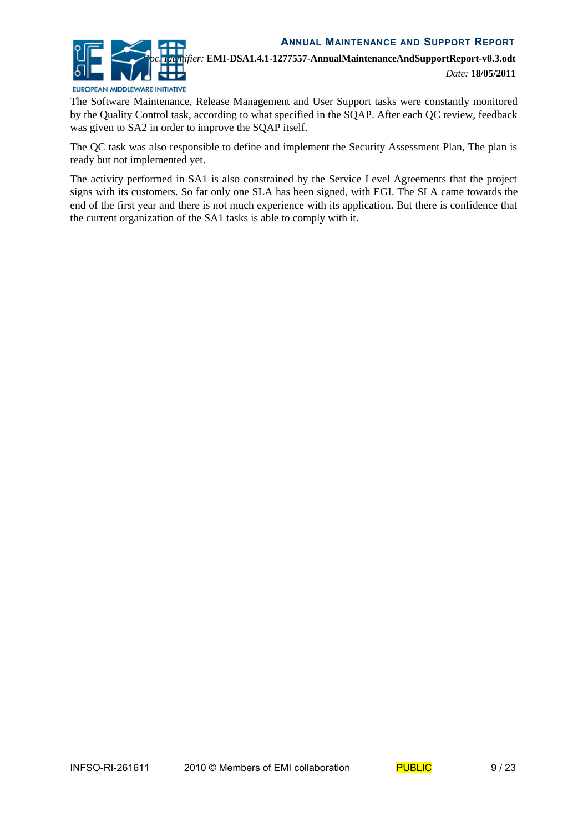

The Software Maintenance, Release Management and User Support tasks were constantly monitored by the Quality Control task, according to what specified in the SQAP. After each QC review, feedback was given to SA2 in order to improve the SQAP itself.

The QC task was also responsible to define and implement the Security Assessment Plan, The plan is ready but not implemented yet.

The activity performed in SA1 is also constrained by the Service Level Agreements that the project signs with its customers. So far only one SLA has been signed, with EGI. The SLA came towards the end of the first year and there is not much experience with its application. But there is confidence that the current organization of the SA1 tasks is able to comply with it.

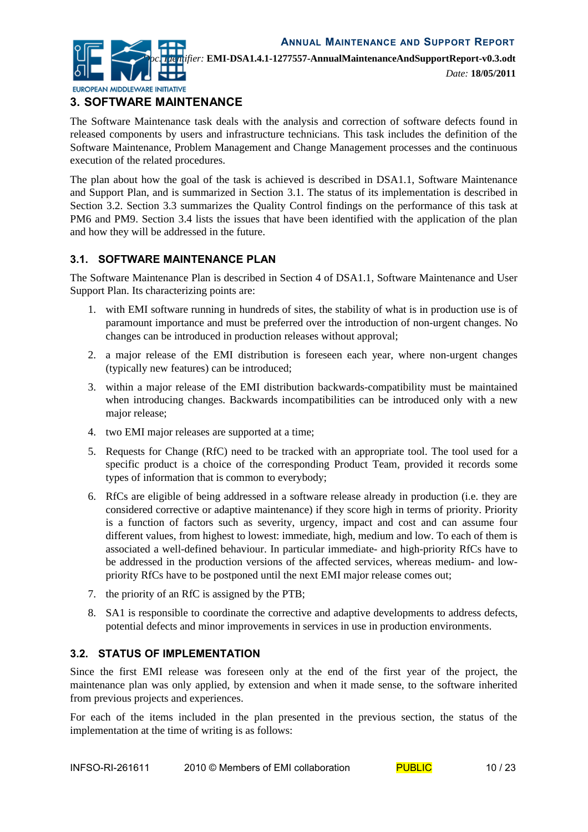

*Date:* **18/05/2011**

# **3. SOFTWARE MAINTENANCE**

The Software Maintenance task deals with the analysis and correction of software defects found in released components by users and infrastructure technicians. This task includes the definition of the Software Maintenance, Problem Management and Change Management processes and the continuous execution of the related procedures.

The plan about how the goal of the task is achieved is described in DSA1.1, Software Maintenance and Support Plan, and is summarized in Section [3.1.](#page-9-1) The status of its implementation is described in Section [3.2.](#page-9-0) Section [3.3](#page-11-1) summarizes the Quality Control findings on the performance of this task at PM6 and PM9. Section [3.4](#page-11-0) lists the issues that have been identified with the application of the plan and how they will be addressed in the future.

#### <span id="page-9-1"></span>**3.1. SOFTWARE MAINTENANCE PLAN**

The Software Maintenance Plan is described in Section 4 of DSA1.1, Software Maintenance and User Support Plan. Its characterizing points are:

- 1. with EMI software running in hundreds of sites, the stability of what is in production use is of paramount importance and must be preferred over the introduction of non-urgent changes. No changes can be introduced in production releases without approval;
- 2. a major release of the EMI distribution is foreseen each year, where non-urgent changes (typically new features) can be introduced;
- 3. within a major release of the EMI distribution backwards-compatibility must be maintained when introducing changes. Backwards incompatibilities can be introduced only with a new major release;
- 4. two EMI major releases are supported at a time;
- 5. Requests for Change (RfC) need to be tracked with an appropriate tool. The tool used for a specific product is a choice of the corresponding Product Team, provided it records some types of information that is common to everybody;
- 6. RfCs are eligible of being addressed in a software release already in production (i.e. they are considered corrective or adaptive maintenance) if they score high in terms of priority. Priority is a function of factors such as severity, urgency, impact and cost and can assume four different values, from highest to lowest: immediate, high, medium and low. To each of them is associated a well-defined behaviour. In particular immediate- and high-priority RfCs have to be addressed in the production versions of the affected services, whereas medium- and lowpriority RfCs have to be postponed until the next EMI major release comes out;
- 7. the priority of an RfC is assigned by the PTB;
- 8. SA1 is responsible to coordinate the corrective and adaptive developments to address defects, potential defects and minor improvements in services in use in production environments.

#### <span id="page-9-0"></span>**3.2. STATUS OF IMPLEMENTATION**

Since the first EMI release was foreseen only at the end of the first year of the project, the maintenance plan was only applied, by extension and when it made sense, to the software inherited from previous projects and experiences.

For each of the items included in the plan presented in the previous section, the status of the implementation at the time of writing is as follows: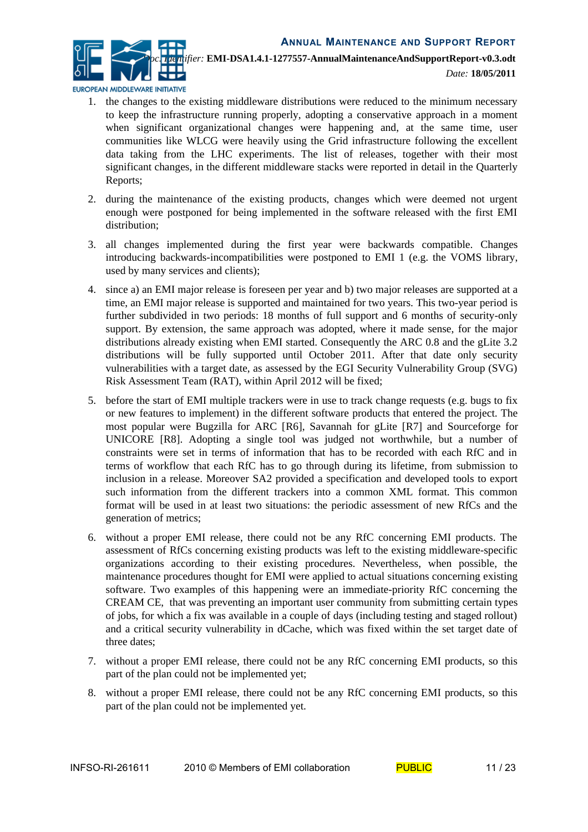

EUROPEAN MIDDLEWARE INITIATIVE

- 1. the changes to the existing middleware distributions were reduced to the minimum necessary to keep the infrastructure running properly, adopting a conservative approach in a moment when significant organizational changes were happening and, at the same time, user communities like WLCG were heavily using the Grid infrastructure following the excellent data taking from the LHC experiments. The list of releases, together with their most significant changes, in the different middleware stacks were reported in detail in the Quarterly Reports;
- 2. during the maintenance of the existing products, changes which were deemed not urgent enough were postponed for being implemented in the software released with the first EMI distribution;
- 3. all changes implemented during the first year were backwards compatible. Changes introducing backwards-incompatibilities were postponed to EMI 1 (e.g. the VOMS library, used by many services and clients);
- 4. since a) an EMI major release is foreseen per year and b) two major releases are supported at a time, an EMI major release is supported and maintained for two years. This two-year period is further subdivided in two periods: 18 months of full support and 6 months of security-only support. By extension, the same approach was adopted, where it made sense, for the major distributions already existing when EMI started. Consequently the ARC 0.8 and the gLite 3.2 distributions will be fully supported until October 2011. After that date only security vulnerabilities with a target date, as assessed by the EGI Security Vulnerability Group (SVG) Risk Assessment Team (RAT), within April 2012 will be fixed;
- 5. before the start of EMI multiple trackers were in use to track change requests (e.g. bugs to fix or new features to implement) in the different software products that entered the project. The most popular were Bugzilla for ARC [\[R6\]](#page-4-7), Savannah for gLite [\[R7\]](#page-4-6) and Sourceforge for UNICORE [\[R8\]](#page-4-5). Adopting a single tool was judged not worthwhile, but a number of constraints were set in terms of information that has to be recorded with each RfC and in terms of workflow that each RfC has to go through during its lifetime, from submission to inclusion in a release. Moreover SA2 provided a specification and developed tools to export such information from the different trackers into a common XML format. This common format will be used in at least two situations: the periodic assessment of new RfCs and the generation of metrics;
- 6. without a proper EMI release, there could not be any RfC concerning EMI products. The assessment of RfCs concerning existing products was left to the existing middleware-specific organizations according to their existing procedures. Nevertheless, when possible, the maintenance procedures thought for EMI were applied to actual situations concerning existing software. Two examples of this happening were an immediate-priority RfC concerning the CREAM CE, that was preventing an important user community from submitting certain types of jobs, for which a fix was available in a couple of days (including testing and staged rollout) and a critical security vulnerability in dCache, which was fixed within the set target date of three dates;
- 7. without a proper EMI release, there could not be any RfC concerning EMI products, so this part of the plan could not be implemented yet;
- 8. without a proper EMI release, there could not be any RfC concerning EMI products, so this part of the plan could not be implemented yet.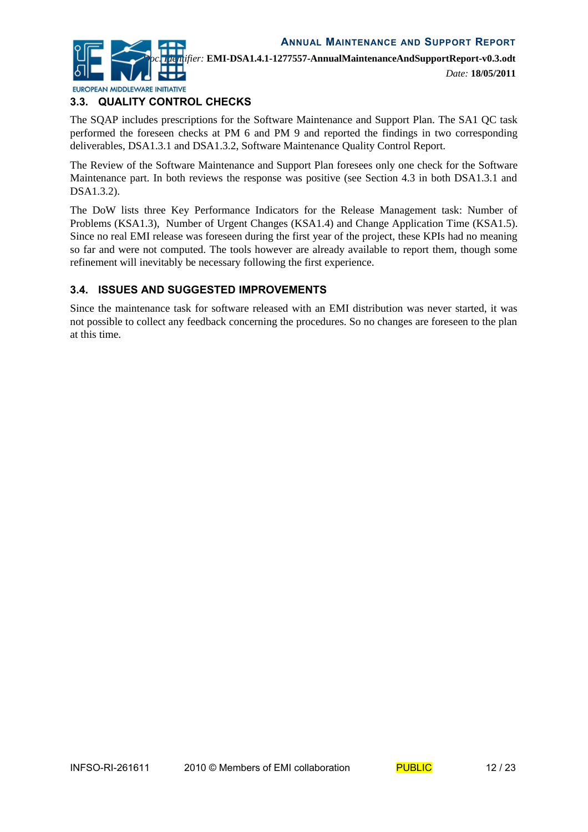

#### <span id="page-11-1"></span>**3.3. QUALITY CONTROL CHECKS**

The SQAP includes prescriptions for the Software Maintenance and Support Plan. The SA1 QC task performed the foreseen checks at PM 6 and PM 9 and reported the findings in two corresponding deliverables, DSA1.3.1 and DSA1.3.2, Software Maintenance Quality Control Report.

The Review of the Software Maintenance and Support Plan foresees only one check for the Software Maintenance part. In both reviews the response was positive (see Section 4.3 in both DSA1.3.1 and DSA1.3.2).

The DoW lists three Key Performance Indicators for the Release Management task: Number of Problems (KSA1.3), Number of Urgent Changes (KSA1.4) and Change Application Time (KSA1.5). Since no real EMI release was foreseen during the first year of the project, these KPIs had no meaning so far and were not computed. The tools however are already available to report them, though some refinement will inevitably be necessary following the first experience.

#### <span id="page-11-0"></span>**3.4. ISSUES AND SUGGESTED IMPROVEMENTS**

Since the maintenance task for software released with an EMI distribution was never started, it was not possible to collect any feedback concerning the procedures. So no changes are foreseen to the plan at this time.

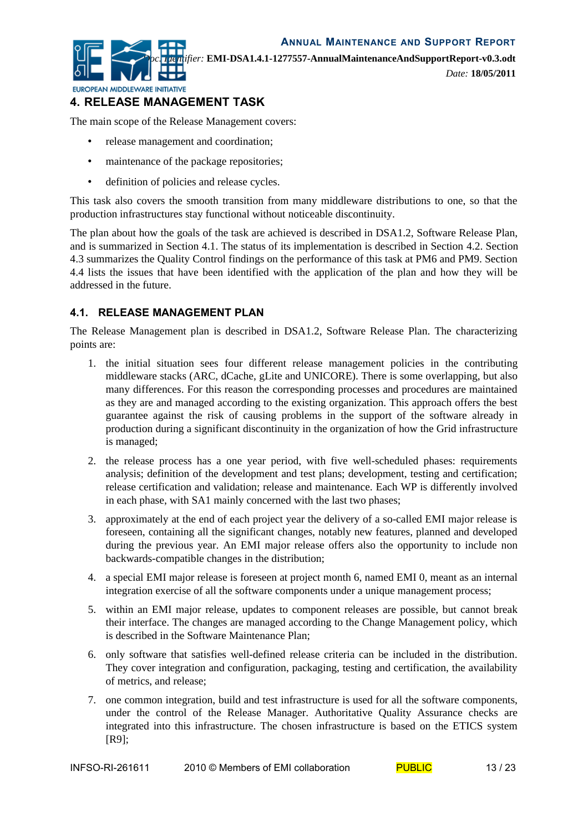**EUROPEAN MIDDLEWARE INITIATIVE** 

*Doc. Identifier:* **EMI-DSA1.4.1-1277557-AnnualMaintenanceAndSupportReport-v0.3.odt**

*Date:* **18/05/2011**

## **4. RELEASE MANAGEMENT TASK**

The main scope of the Release Management covers:

- release management and coordination;
- maintenance of the package repositories;
- definition of policies and release cycles.

This task also covers the smooth transition from many middleware distributions to one, so that the production infrastructures stay functional without noticeable discontinuity.

The plan about how the goals of the task are achieved is described in DSA1.2, Software Release Plan, and is summarized in Section [4.1.](#page-12-0) The status of its implementation is described in Section [4.2.](#page-13-0) Section [4.3](#page-14-0) summarizes the Quality Control findings on the performance of this task at PM6 and PM9. Section [4.4](#page-15-0) lists the issues that have been identified with the application of the plan and how they will be addressed in the future.

#### <span id="page-12-0"></span>**4.1. RELEASE MANAGEMENT PLAN**

The Release Management plan is described in DSA1.2, Software Release Plan. The characterizing points are:

- 1. the initial situation sees four different release management policies in the contributing middleware stacks (ARC, dCache, gLite and UNICORE). There is some overlapping, but also many differences. For this reason the corresponding processes and procedures are maintained as they are and managed according to the existing organization. This approach offers the best guarantee against the risk of causing problems in the support of the software already in production during a significant discontinuity in the organization of how the Grid infrastructure is managed;
- 2. the release process has a one year period, with five well-scheduled phases: requirements analysis; definition of the development and test plans; development, testing and certification; release certification and validation; release and maintenance. Each WP is differently involved in each phase, with SA1 mainly concerned with the last two phases;
- 3. approximately at the end of each project year the delivery of a so-called EMI major release is foreseen, containing all the significant changes, notably new features, planned and developed during the previous year. An EMI major release offers also the opportunity to include non backwards-compatible changes in the distribution;
- 4. a special EMI major release is foreseen at project month 6, named EMI 0, meant as an internal integration exercise of all the software components under a unique management process;
- 5. within an EMI major release, updates to component releases are possible, but cannot break their interface. The changes are managed according to the Change Management policy, which is described in the Software Maintenance Plan;
- 6. only software that satisfies well-defined release criteria can be included in the distribution. They cover integration and configuration, packaging, testing and certification, the availability of metrics, and release;
- 7. one common integration, build and test infrastructure is used for all the software components, under the control of the Release Manager. Authoritative Quality Assurance checks are integrated into this infrastructure. The chosen infrastructure is based on the ETICS system [\[R9\]](#page-4-8);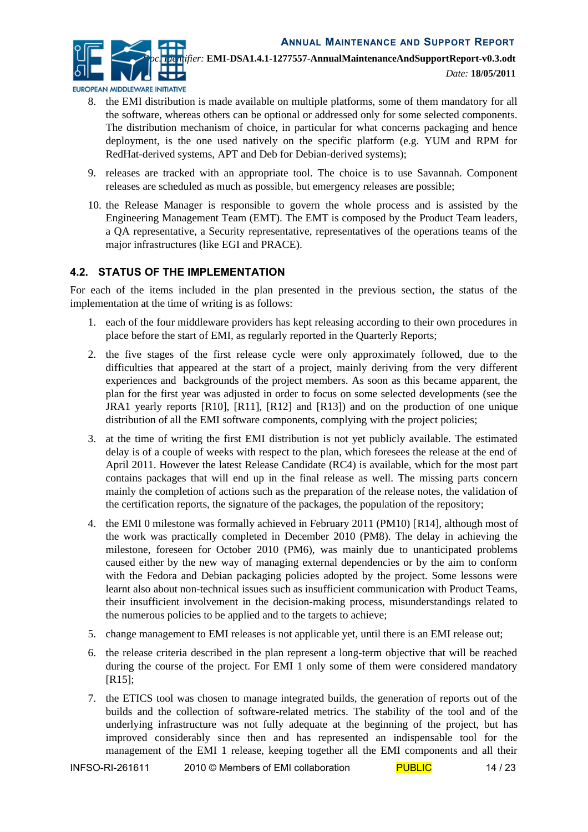

- EUROPEAN MIDDLEWARE INITIATIVE
	- 8. the EMI distribution is made available on multiple platforms, some of them mandatory for all the software, whereas others can be optional or addressed only for some selected components. The distribution mechanism of choice, in particular for what concerns packaging and hence deployment, is the one used natively on the specific platform (e.g. YUM and RPM for RedHat-derived systems, APT and Deb for Debian-derived systems);
	- 9. releases are tracked with an appropriate tool. The choice is to use Savannah. Component releases are scheduled as much as possible, but emergency releases are possible;
	- 10. the Release Manager is responsible to govern the whole process and is assisted by the Engineering Management Team (EMT). The EMT is composed by the Product Team leaders, a QA representative, a Security representative, representatives of the operations teams of the major infrastructures (like EGI and PRACE).

#### <span id="page-13-0"></span>**4.2. STATUS OF THE IMPLEMENTATION**

For each of the items included in the plan presented in the previous section, the status of the implementation at the time of writing is as follows:

- 1. each of the four middleware providers has kept releasing according to their own procedures in place before the start of EMI, as regularly reported in the Quarterly Reports;
- 2. the five stages of the first release cycle were only approximately followed, due to the difficulties that appeared at the start of a project, mainly deriving from the very different experiences and backgrounds of the project members. As soon as this became apparent, the plan for the first year was adjusted in order to focus on some selected developments (see the JRA1 yearly reports [\[R10\]](#page-4-14), [\[R11\]](#page-4-13), [\[R12\]](#page-4-12) and [\[R13\]](#page-4-11)) and on the production of one unique distribution of all the EMI software components, complying with the project policies;
- 3. at the time of writing the first EMI distribution is not yet publicly available. The estimated delay is of a couple of weeks with respect to the plan, which foresees the release at the end of April 2011. However the latest Release Candidate (RC4) is available, which for the most part contains packages that will end up in the final release as well. The missing parts concern mainly the completion of actions such as the preparation of the release notes, the validation of the certification reports, the signature of the packages, the population of the repository;
- 4. the EMI 0 milestone was formally achieved in February 2011 (PM10) [[R14\]](#page-4-10), although most of the work was practically completed in December 2010 (PM8). The delay in achieving the milestone, foreseen for October 2010 (PM6), was mainly due to unanticipated problems caused either by the new way of managing external dependencies or by the aim to conform with the Fedora and Debian packaging policies adopted by the project. Some lessons were learnt also about non-technical issues such as insufficient communication with Product Teams, their insufficient involvement in the decision-making process, misunderstandings related to the numerous policies to be applied and to the targets to achieve;
- 5. change management to EMI releases is not applicable yet, until there is an EMI release out;
- 6. the release criteria described in the plan represent a long-term objective that will be reached during the course of the project. For EMI 1 only some of them were considered mandatory [R<sub>15</sub>];
- 7. the ETICS tool was chosen to manage integrated builds, the generation of reports out of the builds and the collection of software-related metrics. The stability of the tool and of the underlying infrastructure was not fully adequate at the beginning of the project, but has improved considerably since then and has represented an indispensable tool for the management of the EMI 1 release, keeping together all the EMI components and all their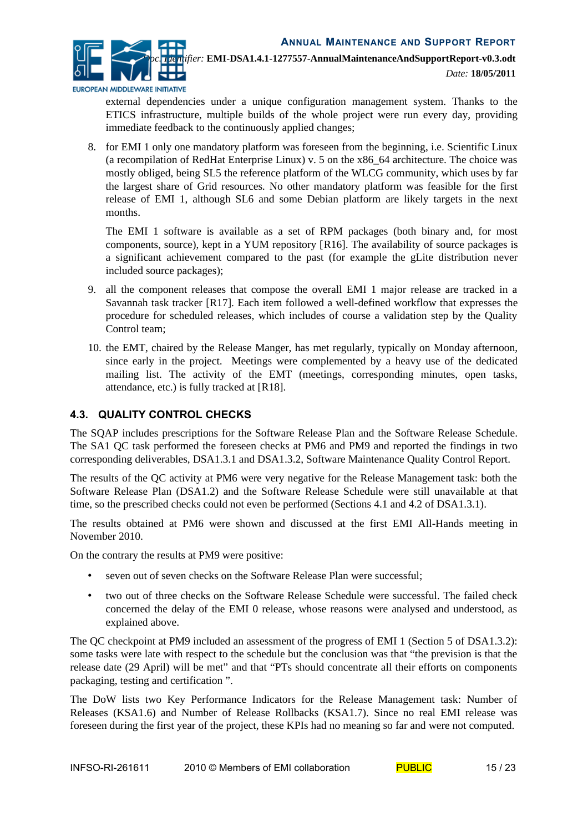

external dependencies under a unique configuration management system. Thanks to the ETICS infrastructure, multiple builds of the whole project were run every day, providing immediate feedback to the continuously applied changes;

8. for EMI 1 only one mandatory platform was foreseen from the beginning, i.e. Scientific Linux (a recompilation of RedHat Enterprise Linux) v. 5 on the x86\_64 architecture. The choice was mostly obliged, being SL5 the reference platform of the WLCG community, which uses by far the largest share of Grid resources. No other mandatory platform was feasible for the first release of EMI 1, although SL6 and some Debian platform are likely targets in the next months.

The EMI 1 software is available as a set of RPM packages (both binary and, for most components, source), kept in a YUM repository [\[R16\]](#page-4-15). The availability of source packages is a significant achievement compared to the past (for example the gLite distribution never included source packages);

- 9. all the component releases that compose the overall EMI 1 major release are tracked in a Savannah task tracker [\[R17\]](#page-5-1). Each item followed a well-defined workflow that expresses the procedure for scheduled releases, which includes of course a validation step by the Quality Control team;
- 10. the EMT, chaired by the Release Manger, has met regularly, typically on Monday afternoon, since early in the project. Meetings were complemented by a heavy use of the dedicated mailing list. The activity of the EMT (meetings, corresponding minutes, open tasks, attendance, etc.) is fully tracked at [\[R18\]](#page-5-0).

#### <span id="page-14-0"></span>**4.3. QUALITY CONTROL CHECKS**

The SQAP includes prescriptions for the Software Release Plan and the Software Release Schedule. The SA1 QC task performed the foreseen checks at PM6 and PM9 and reported the findings in two corresponding deliverables, DSA1.3.1 and DSA1.3.2, Software Maintenance Quality Control Report.

The results of the QC activity at PM6 were very negative for the Release Management task: both the Software Release Plan (DSA1.2) and the Software Release Schedule were still unavailable at that time, so the prescribed checks could not even be performed (Sections 4.1 and 4.2 of DSA1.3.1).

The results obtained at PM6 were shown and discussed at the first EMI All-Hands meeting in November 2010.

On the contrary the results at PM9 were positive:

- seven out of seven checks on the Software Release Plan were successful;
- two out of three checks on the Software Release Schedule were successful. The failed check concerned the delay of the EMI 0 release, whose reasons were analysed and understood, as explained above.

The QC checkpoint at PM9 included an assessment of the progress of EMI 1 (Section 5 of DSA1.3.2): some tasks were late with respect to the schedule but the conclusion was that "the prevision is that the release date (29 April) will be met" and that "PTs should concentrate all their efforts on components packaging, testing and certification ".

The DoW lists two Key Performance Indicators for the Release Management task: Number of Releases (KSA1.6) and Number of Release Rollbacks (KSA1.7). Since no real EMI release was foreseen during the first year of the project, these KPIs had no meaning so far and were not computed.

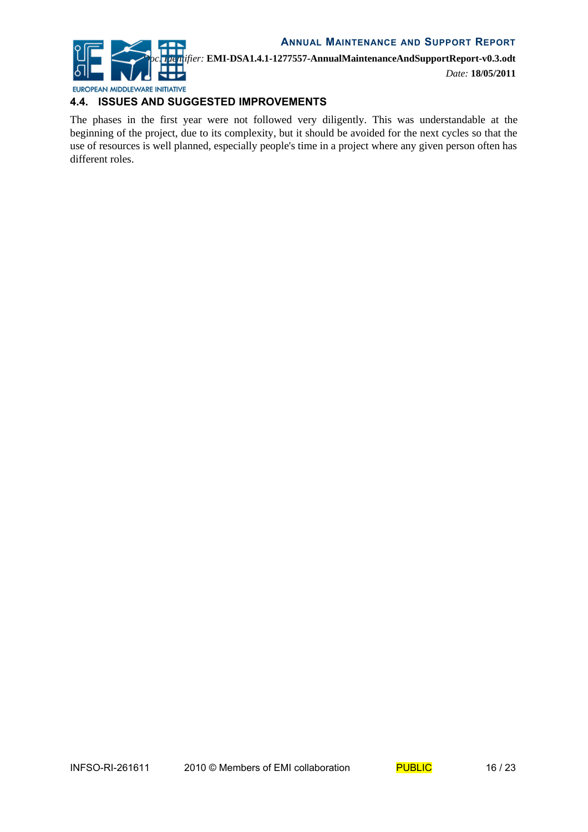

*Doc. Identifier:* **EMI-DSA1.4.1-1277557-AnnualMaintenanceAndSupportReport-v0.3.odt**

*Date:* **18/05/2011**

#### <span id="page-15-0"></span>**4.4. ISSUES AND SUGGESTED IMPROVEMENTS**

The phases in the first year were not followed very diligently. This was understandable at the beginning of the project, due to its complexity, but it should be avoided for the next cycles so that the use of resources is well planned, especially people's time in a project where any given person often has different roles.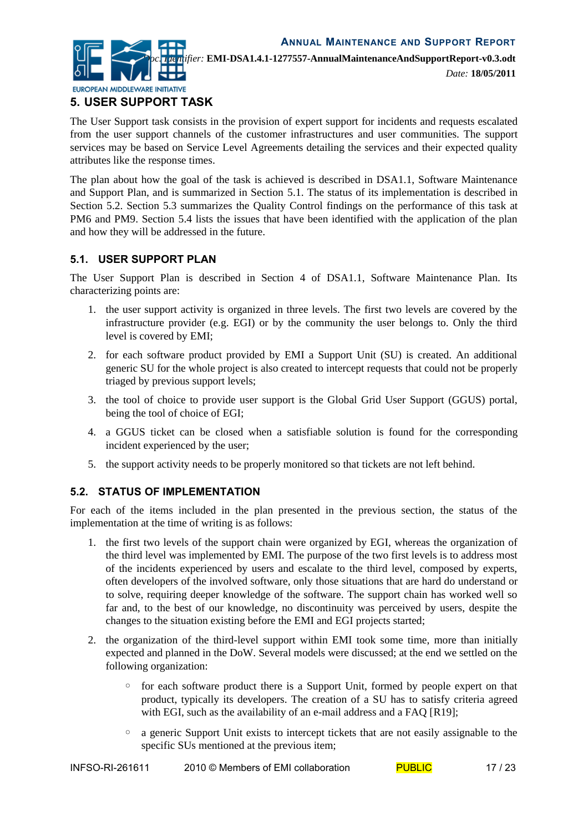

*Date:* **18/05/2011**

### **5. USER SUPPORT TASK**

The User Support task consists in the provision of expert support for incidents and requests escalated from the user support channels of the customer infrastructures and user communities. The support services may be based on Service Level Agreements detailing the services and their expected quality attributes like the response times.

The plan about how the goal of the task is achieved is described in DSA1.1, Software Maintenance and Support Plan, and is summarized in Section [5.1.](#page-16-1) The status of its implementation is described in Section [5.2.](#page-16-0) Section [5.3](#page-17-1) summarizes the Quality Control findings on the performance of this task at PM6 and PM9. Section [5.4](#page-17-0) lists the issues that have been identified with the application of the plan and how they will be addressed in the future.

#### <span id="page-16-1"></span>**5.1. USER SUPPORT PLAN**

The User Support Plan is described in Section 4 of DSA1.1, Software Maintenance Plan. Its characterizing points are:

- 1. the user support activity is organized in three levels. The first two levels are covered by the infrastructure provider (e.g. EGI) or by the community the user belongs to. Only the third level is covered by EMI;
- 2. for each software product provided by EMI a Support Unit (SU) is created. An additional generic SU for the whole project is also created to intercept requests that could not be properly triaged by previous support levels;
- 3. the tool of choice to provide user support is the Global Grid User Support (GGUS) portal, being the tool of choice of EGI;
- 4. a GGUS ticket can be closed when a satisfiable solution is found for the corresponding incident experienced by the user;
- 5. the support activity needs to be properly monitored so that tickets are not left behind.

#### <span id="page-16-0"></span>**5.2. STATUS OF IMPLEMENTATION**

For each of the items included in the plan presented in the previous section, the status of the implementation at the time of writing is as follows:

- 1. the first two levels of the support chain were organized by EGI, whereas the organization of the third level was implemented by EMI. The purpose of the two first levels is to address most of the incidents experienced by users and escalate to the third level, composed by experts, often developers of the involved software, only those situations that are hard do understand or to solve, requiring deeper knowledge of the software. The support chain has worked well so far and, to the best of our knowledge, no discontinuity was perceived by users, despite the changes to the situation existing before the EMI and EGI projects started;
- 2. the organization of the third-level support within EMI took some time, more than initially expected and planned in the DoW. Several models were discussed; at the end we settled on the following organization:
	- for each software product there is a Support Unit, formed by people expert on that product, typically its developers. The creation of a SU has to satisfy criteria agreed with EGI, such as the availability of an e-mail address and a FAQ [\[R19\]](#page-5-2);
	- a generic Support Unit exists to intercept tickets that are not easily assignable to the specific SUs mentioned at the previous item;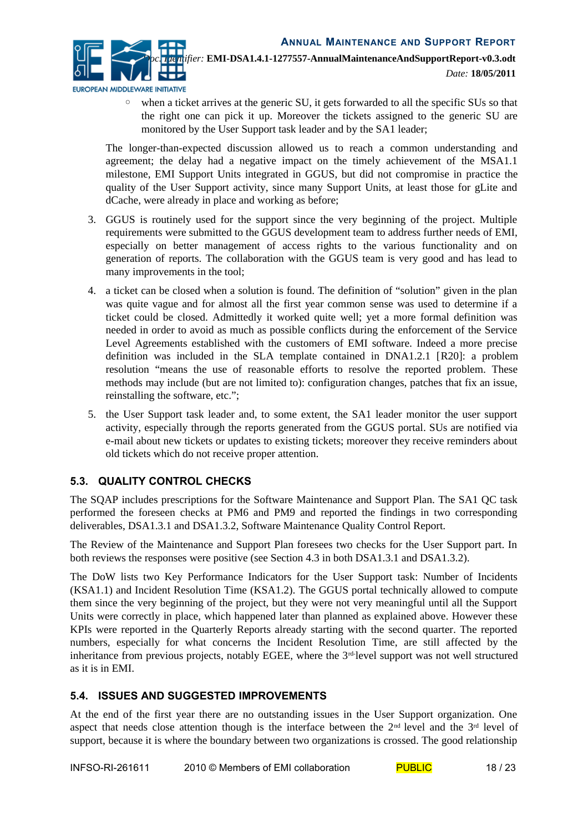

◦ when a ticket arrives at the generic SU, it gets forwarded to all the specific SUs so that the right one can pick it up. Moreover the tickets assigned to the generic SU are monitored by the User Support task leader and by the SA1 leader;

The longer-than-expected discussion allowed us to reach a common understanding and agreement; the delay had a negative impact on the timely achievement of the MSA1.1 milestone, EMI Support Units integrated in GGUS, but did not compromise in practice the quality of the User Support activity, since many Support Units, at least those for gLite and dCache, were already in place and working as before;

- 3. GGUS is routinely used for the support since the very beginning of the project. Multiple requirements were submitted to the GGUS development team to address further needs of EMI, especially on better management of access rights to the various functionality and on generation of reports. The collaboration with the GGUS team is very good and has lead to many improvements in the tool;
- 4. a ticket can be closed when a solution is found. The definition of "solution" given in the plan was quite vague and for almost all the first year common sense was used to determine if a ticket could be closed. Admittedly it worked quite well; yet a more formal definition was needed in order to avoid as much as possible conflicts during the enforcement of the Service Level Agreements established with the customers of EMI software. Indeed a more precise definition was included in the SLA template contained in DNA1.2.1 [\[R20\]](#page-5-3): a problem resolution "means the use of reasonable efforts to resolve the reported problem. These methods may include (but are not limited to): configuration changes, patches that fix an issue, reinstalling the software, etc.";
- 5. the User Support task leader and, to some extent, the SA1 leader monitor the user support activity, especially through the reports generated from the GGUS portal. SUs are notified via e-mail about new tickets or updates to existing tickets; moreover they receive reminders about old tickets which do not receive proper attention.

#### <span id="page-17-1"></span>**5.3. QUALITY CONTROL CHECKS**

The SQAP includes prescriptions for the Software Maintenance and Support Plan. The SA1 QC task performed the foreseen checks at PM6 and PM9 and reported the findings in two corresponding deliverables, DSA1.3.1 and DSA1.3.2, Software Maintenance Quality Control Report.

The Review of the Maintenance and Support Plan foresees two checks for the User Support part. In both reviews the responses were positive (see Section 4.3 in both DSA1.3.1 and DSA1.3.2).

The DoW lists two Key Performance Indicators for the User Support task: Number of Incidents (KSA1.1) and Incident Resolution Time (KSA1.2). The GGUS portal technically allowed to compute them since the very beginning of the project, but they were not very meaningful until all the Support Units were correctly in place, which happened later than planned as explained above. However these KPIs were reported in the Quarterly Reports already starting with the second quarter. The reported numbers, especially for what concerns the Incident Resolution Time, are still affected by the inheritance from previous projects, notably EGEE, where the 3<sup>rd-</sup>level support was not well structured as it is in EMI.

#### <span id="page-17-0"></span>**5.4. ISSUES AND SUGGESTED IMPROVEMENTS**

At the end of the first year there are no outstanding issues in the User Support organization. One aspect that needs close attention though is the interface between the 2<sup>nd</sup> level and the 3<sup>rd</sup> level of support, because it is where the boundary between two organizations is crossed. The good relationship

```
INFSO-RI-261611 2010 © Members of EMI collaboration PUBLIC 18/23
```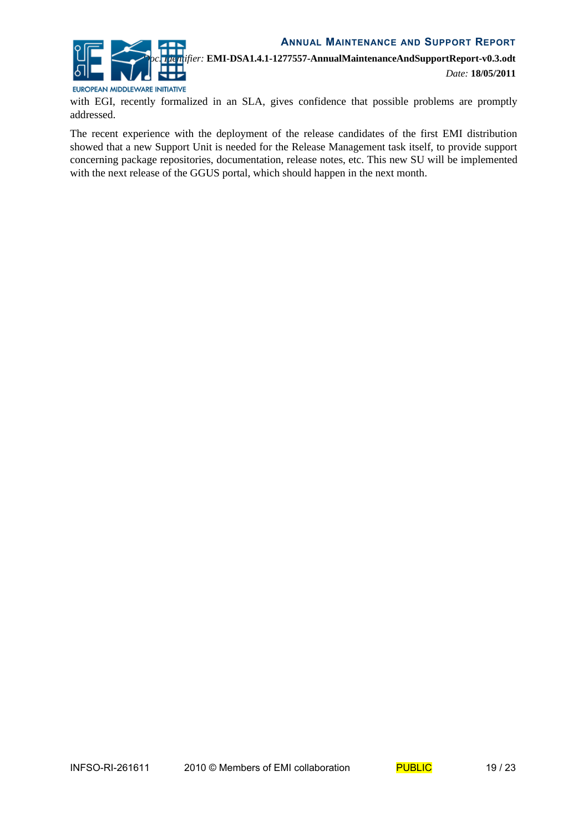

EUROPEAN MIDDLEWARE INITIATIVE

with EGI, recently formalized in an SLA, gives confidence that possible problems are promptly addressed.

The recent experience with the deployment of the release candidates of the first EMI distribution showed that a new Support Unit is needed for the Release Management task itself, to provide support concerning package repositories, documentation, release notes, etc. This new SU will be implemented with the next release of the GGUS portal, which should happen in the next month.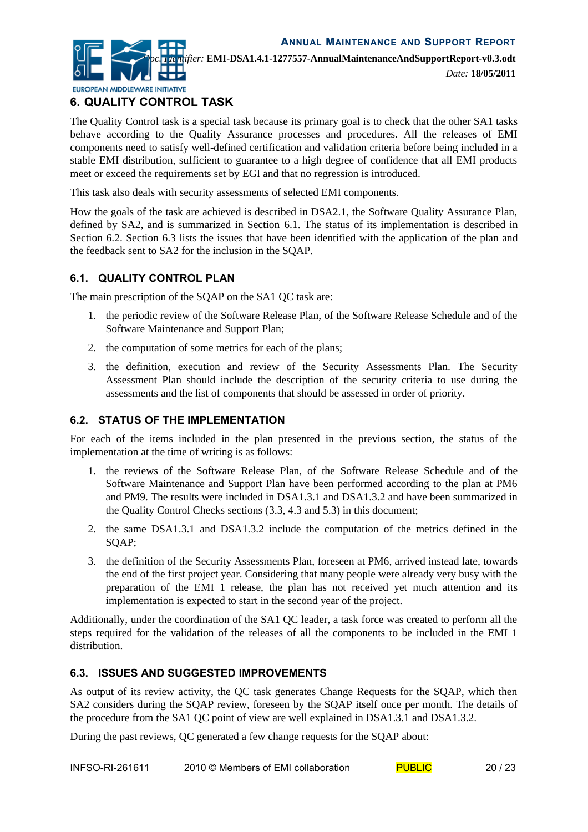

*Date:* **18/05/2011**

# **6. QUALITY CONTROL TASK**

The Quality Control task is a special task because its primary goal is to check that the other SA1 tasks behave according to the Quality Assurance processes and procedures. All the releases of EMI components need to satisfy well-defined certification and validation criteria before being included in a stable EMI distribution, sufficient to guarantee to a high degree of confidence that all EMI products meet or exceed the requirements set by EGI and that no regression is introduced.

This task also deals with security assessments of selected EMI components.

How the goals of the task are achieved is described in DSA2.1, the Software Quality Assurance Plan, defined by SA2, and is summarized in Section [6.1.](#page-19-2) The status of its implementation is described in Section [6.2.](#page-19-1) Section [6.3](#page-19-0) lists the issues that have been identified with the application of the plan and the feedback sent to SA2 for the inclusion in the SQAP.

# <span id="page-19-2"></span>**6.1. QUALITY CONTROL PLAN**

The main prescription of the SQAP on the SA1 QC task are:

- 1. the periodic review of the Software Release Plan, of the Software Release Schedule and of the Software Maintenance and Support Plan;
- 2. the computation of some metrics for each of the plans;
- 3. the definition, execution and review of the Security Assessments Plan. The Security Assessment Plan should include the description of the security criteria to use during the assessments and the list of components that should be assessed in order of priority.

#### <span id="page-19-1"></span>**6.2. STATUS OF THE IMPLEMENTATION**

For each of the items included in the plan presented in the previous section, the status of the implementation at the time of writing is as follows:

- 1. the reviews of the Software Release Plan, of the Software Release Schedule and of the Software Maintenance and Support Plan have been performed according to the plan at PM6 and PM9. The results were included in DSA1.3.1 and DSA1.3.2 and have been summarized in the Quality Control Checks sections [\(3.3,](#page-11-1) [4.3](#page-14-0) and [5.3\)](#page-17-1) in this document;
- 2. the same DSA1.3.1 and DSA1.3.2 include the computation of the metrics defined in the SQAP;
- 3. the definition of the Security Assessments Plan, foreseen at PM6, arrived instead late, towards the end of the first project year. Considering that many people were already very busy with the preparation of the EMI 1 release, the plan has not received yet much attention and its implementation is expected to start in the second year of the project.

Additionally, under the coordination of the SA1 QC leader, a task force was created to perform all the steps required for the validation of the releases of all the components to be included in the EMI 1 distribution.

#### <span id="page-19-0"></span>**6.3. ISSUES AND SUGGESTED IMPROVEMENTS**

As output of its review activity, the QC task generates Change Requests for the SQAP, which then SA2 considers during the SQAP review, foreseen by the SQAP itself once per month. The details of the procedure from the SA1 QC point of view are well explained in DSA1.3.1 and DSA1.3.2.

During the past reviews, QC generated a few change requests for the SQAP about: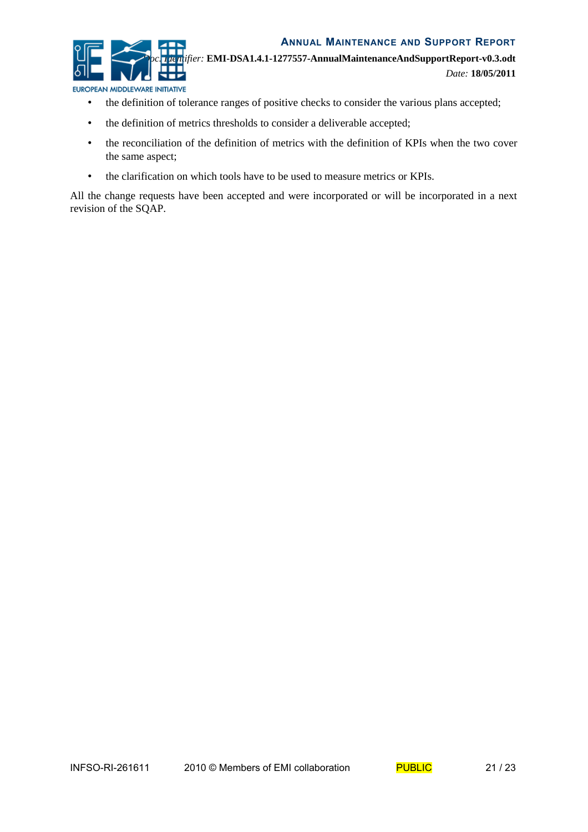

- the definition of tolerance ranges of positive checks to consider the various plans accepted;
- the definition of metrics thresholds to consider a deliverable accepted;
- the reconciliation of the definition of metrics with the definition of KPIs when the two cover the same aspect;
- the clarification on which tools have to be used to measure metrics or KPIs.

All the change requests have been accepted and were incorporated or will be incorporated in a next revision of the SQAP.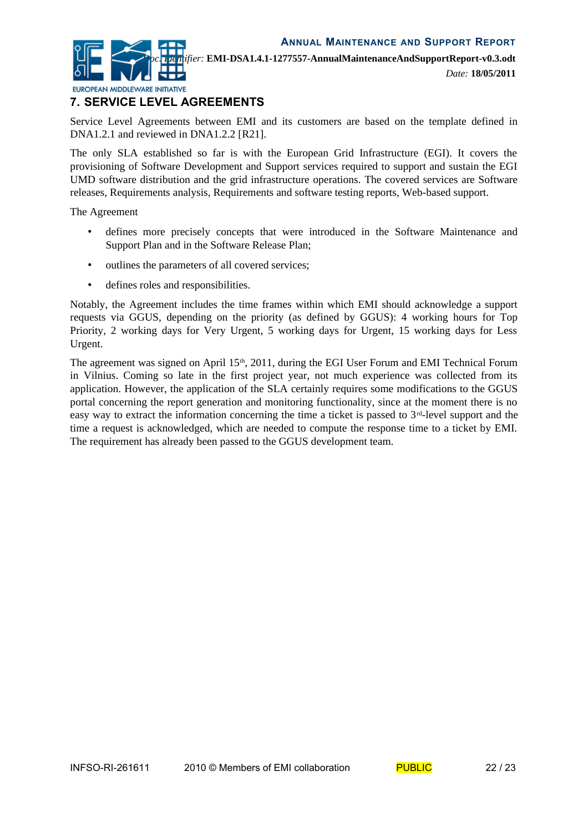

*Date:* **18/05/2011**

# **7. SERVICE LEVEL AGREEMENTS**

Service Level Agreements between EMI and its customers are based on the template defined in DNA1.2.1 and reviewed in DNA1.2.2 [\[R21\]](#page-5-4).

The only SLA established so far is with the European Grid Infrastructure (EGI). It covers the provisioning of Software Development and Support services required to support and sustain the EGI UMD software distribution and the grid infrastructure operations. The covered services are Software releases, Requirements analysis, Requirements and software testing reports, Web-based support.

The Agreement

- defines more precisely concepts that were introduced in the Software Maintenance and Support Plan and in the Software Release Plan;
- outlines the parameters of all covered services;
- defines roles and responsibilities.

Notably, the Agreement includes the time frames within which EMI should acknowledge a support requests via GGUS, depending on the priority (as defined by GGUS): 4 working hours for Top Priority, 2 working days for Very Urgent, 5 working days for Urgent, 15 working days for Less Urgent.

The agreement was signed on April  $15<sup>th</sup>$ , 2011, during the EGI User Forum and EMI Technical Forum in Vilnius. Coming so late in the first project year, not much experience was collected from its application. However, the application of the SLA certainly requires some modifications to the GGUS portal concerning the report generation and monitoring functionality, since at the moment there is no easy way to extract the information concerning the time a ticket is passed to  $3<sup>rd</sup>$ -level support and the time a request is acknowledged, which are needed to compute the response time to a ticket by EMI. The requirement has already been passed to the GGUS development team.